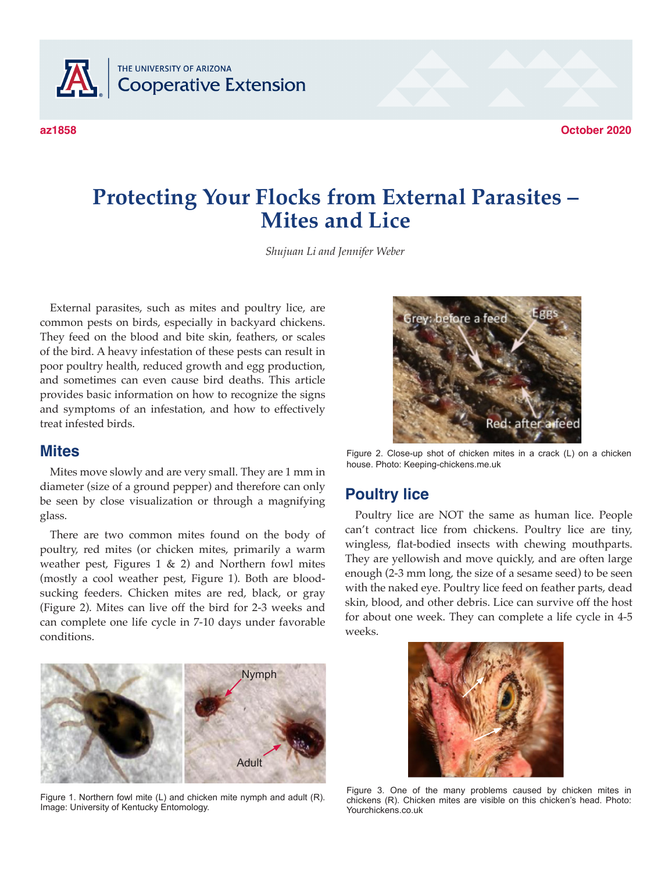

# **Protecting Your Flocks from External Parasites – Mites and Lice**

*Shujuan Li and Jennifer Weber*

External parasites, such as mites and poultry lice, are common pests on birds, especially in backyard chickens. They feed on the blood and bite skin, feathers, or scales of the bird. A heavy infestation of these pests can result in poor poultry health, reduced growth and egg production, and sometimes can even cause bird deaths. This article provides basic information on how to recognize the signs and symptoms of an infestation, and how to effectively treat infested birds.

#### **Mites**

Mites move slowly and are very small. They are 1 mm in diameter (size of a ground pepper) and therefore can only be seen by close visualization or through a magnifying glass.

There are two common mites found on the body of poultry, red mites (or chicken mites, primarily a warm weather pest, Figures  $1 \& 2$ ) and Northern fowl mites (mostly a cool weather pest, Figure 1). Both are bloodsucking feeders. Chicken mites are red, black, or gray (Figure 2). Mites can live off the bird for 2-3 weeks and can complete one life cycle in 7-10 days under favorable conditions.



Figure 1. Northern fowl mite (L) and chicken mite nymph and adult (R). Image: University of Kentucky Entomology.



Figure 2. Close-up shot of chicken mites in a crack (L) on a chicken house. Photo: Keeping-chickens.me.uk

#### **Poultry lice**

Poultry lice are NOT the same as human lice. People can't contract lice from chickens. Poultry lice are tiny, wingless, flat-bodied insects with chewing mouthparts. They are yellowish and move quickly, and are often large enough (2-3 mm long, the size of a sesame seed) to be seen with the naked eye. Poultry lice feed on feather parts, dead skin, blood, and other debris. Lice can survive off the host for about one week. They can complete a life cycle in 4-5 weeks.



Figure 3. One of the many problems caused by chicken mites in chickens (R). Chicken mites are visible on this chicken's head. Photo: Yourchickens.co.uk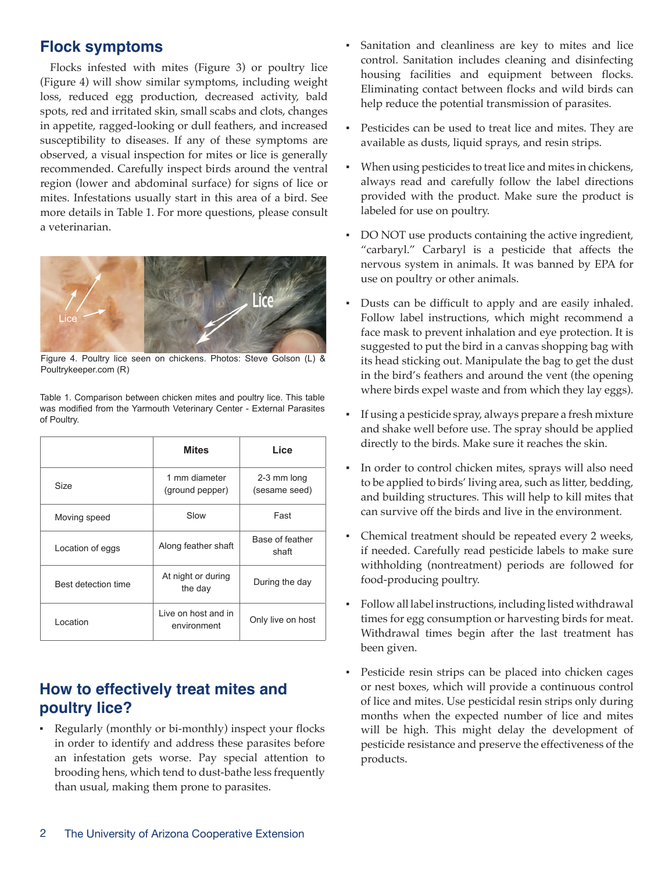### **Flock symptoms**

Flocks infested with mites (Figure 3) or poultry lice (Figure 4) will show similar symptoms, including weight loss, reduced egg production, decreased activity, bald spots, red and irritated skin, small scabs and clots, changes in appetite, ragged-looking or dull feathers, and increased susceptibility to diseases. If any of these symptoms are observed, a visual inspection for mites or lice is generally recommended. Carefully inspect birds around the ventral region (lower and abdominal surface) for signs of lice or mites. Infestations usually start in this area of a bird. See more details in Table 1. For more questions, please consult a veterinarian.



Figure 4. Poultry lice seen on chickens. Photos: Steve Golson (L) & Poultrykeeper.com (R)

|                     | <b>Mites</b>                       | Lice                         |
|---------------------|------------------------------------|------------------------------|
| Size                | 1 mm diameter<br>(ground pepper)   | 2-3 mm long<br>(sesame seed) |
| Moving speed        | Slow                               | Fast                         |
| Location of eggs    | Along feather shaft                | Base of feather<br>shaft     |
| Best detection time | At night or during<br>the day      | During the day               |
| Location            | Live on host and in<br>environment | Only live on host            |

Table 1. Comparison between chicken mites and poultry lice. This table was modified from the Yarmouth Veterinary Center - External Parasites of Poultry.

# **How to effectively treat mites and poultry lice?**

▪ Regularly (monthly or bi-monthly) inspect your flocks in order to identify and address these parasites before an infestation gets worse. Pay special attention to brooding hens, which tend to dust-bathe less frequently than usual, making them prone to parasites.

- Sanitation and cleanliness are key to mites and lice control. Sanitation includes cleaning and disinfecting housing facilities and equipment between flocks. Eliminating contact between flocks and wild birds can help reduce the potential transmission of parasites.
- Pesticides can be used to treat lice and mites. They are available as dusts, liquid sprays, and resin strips.
- When using pesticides to treat lice and mites in chickens, always read and carefully follow the label directions provided with the product. Make sure the product is labeled for use on poultry.
- DO NOT use products containing the active ingredient, "carbaryl." Carbaryl is a pesticide that affects the nervous system in animals. It was banned by EPA for use on poultry or other animals.
- Dusts can be difficult to apply and are easily inhaled. Follow label instructions, which might recommend a face mask to prevent inhalation and eye protection. It is suggested to put the bird in a canvas shopping bag with its head sticking out. Manipulate the bag to get the dust in the bird's feathers and around the vent (the opening where birds expel waste and from which they lay eggs).
- ▪ If using a pesticide spray, always prepare a fresh mixture and shake well before use. The spray should be applied directly to the birds. Make sure it reaches the skin.
- In order to control chicken mites, sprays will also need to be applied to birds' living area, such as litter, bedding, and building structures. This will help to kill mites that can survive off the birds and live in the environment.
- Chemical treatment should be repeated every 2 weeks, if needed. Carefully read pesticide labels to make sure withholding (nontreatment) periods are followed for food-producing poultry.
- Follow all label instructions, including listed withdrawal times for egg consumption or harvesting birds for meat. Withdrawal times begin after the last treatment has been given.
- Pesticide resin strips can be placed into chicken cages or nest boxes, which will provide a continuous control of lice and mites. Use pesticidal resin strips only during months when the expected number of lice and mites will be high. This might delay the development of pesticide resistance and preserve the effectiveness of the products.